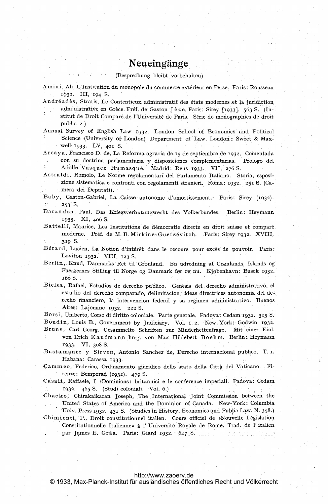# Neueingänge

(Besprechung bleibt vorbehalten)

Amini, Ali, L'Institution du monopole du commerce extérieur en Perse. Paris: Rousseau 1932. III, 194 S.

Andréadès, Stratis, Le Contentieux administratif des états modernes et la juridiction administrative en Grèce. Préf. de Gaston Jèze. Paris: Sirey [1933]. 563 S. (Institut de Droit Comparé de l'Université de Paris. Série de monographies de droit public 2.)

Annual Survey of English Law 1932. London School of Economics and Political Science (University of London) Department of Law. London: Sweet & Maxwell- 1933. LV, 401 S.

Arc aya,,-Francisco D. de, La Reforma agraria de. <sup>15</sup> de septiembre de 1932. Comentada con su doctrina parlamentaria, y.disposiciones complementarias. Prologo del Adolfo Vasquez Humasqué. Madrid: Reus 1933. VII, 276 S.

Astraldi, Romolo, Le Norme regolamentari del Parlamento Italiano. Storia, esposizione sistematica <sup>e</sup> confronti con regolamenti stranieri. Roma: 1932. <sup>251</sup> 6. (Camera dei Deputati).

Baby, Gaston-Gabriel, La Caisse autonome d'amortissement. Paris: Sirey (1932). 253 S.

Barandon, Paul, Das Kriegsverhütungsrecht des Völkerbundes. Berlin: Heymann 1933. XI, 4o6 S,

Battelli, Maurice, Les Institutions de démocratie directe en droit suisse et comparé. moderne. Préf. de M. B. Mirkine-Guetzévitch. Paris: Sirey 1932. XVIII, 319 S.

Bérard, Lucien, La Notion d'intérêt dans le recours pour excès de pouvoir. Paris: Loviton 1932. VIII, <sup>123</sup> S.

Berlin, Knud, Danmarks Ret til Grønland. En udredning af Grønlands, Islands og Faeroernes Stilling til Norge og Danmark for dg nu. Kjobenhavn: Busck 1932. 160 S.

Bielsa, Rafael, Estudios de derecho publico. Genesis del derecho administrativo, el estudio del derecho comparado, delimitacion; ideas directrices autonomia del derecho financiero, la intervencion federal y su regimen administrativo. Buenos Aires: Lajouane 1932. 222 S.

Borsi, Umberto, Corso di diritto coloniale. Parte generale. Padova: Cedam 1932. 315 S. Boudin, Louis B., Government by Judiciary. Vol. 1, 2. New York: Godwin 1932. Bruns, Carl Georg, Gesammelte Schriften zur Minderheitenfrage. Mit einer Einl. von Erich Kaufmann hrsg. von Max Hildebert Boehm. Berlin:. Heymann

1933. VI, 3o8 S.

: In the second control of the second control of the second control of the second control of the second control of the second control of the second control of the second control of the second control of the second control

Bustamante y Sirven, Antonio Sanchez de, Derecho internacional publico. T. i. Habana: Carassa 1933.

Cammeo, Federico, Ordinamento giuridico dello stato della Città del Vaticano. Firenze: Bemporad (1932). 479 S.

Casali, Raffaele, I »Dominions« britannici e le conferenze imperiali. Padova: Cedam 1932- 465 S. (Studi coloniali. 'Vol. 6.)

Chacko, Chirakaikaran Joseph, The International Joint Commission between the United States of America and the Dominion of Canada. New-York: Columbia

Univ. Press 1932- <sup>431</sup> S. (Studies in History, Economics and Public Law. N. 358.) Chimienti, P., Droit constitutionnel italien. Cours officiel de »Nouvelle Législation Constitutionnelle Italienne« à l'Université Royale de Rome. Trad. de l'italien enti, P., Droit constitutionnel italien. Cours of<br>Constitutionnelle Italienne« à l'Université Royale<br>par James E. Grâa. Paris: Giard 1932. 647 S.

# <http://www.zaoerv.de>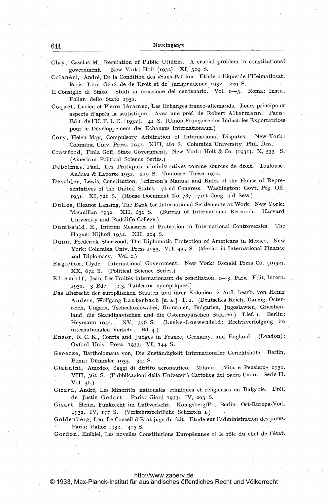Clay, Cassius M., Regulation of Public Utilities. A crucial problem in constitutional New York: Holt (1932). XI, 309 S. government.

Colanéri, André, De la Condition des »Sans-Patrie«. Etude critique de l'Heimatlosat. Paris: Libr. Générale de Droit et de Jurisprudence 1932. 229 S.

Il Consiglio di Stato. Studi in occasione del centenario. Vol. 1-3. Roma: Instit. Poligr. dello Stato 1932.

Coquet, Lucien et Pierre Jéramec, Les Echanges franco-allemands. Leurs principaux aspects d'après la statistique. Avec une préf. de Robert Altermann. Paris: Edit. de l'U. F. I. E. [1932]. 41 S. (Union Française des Industries Exportatrices pour le Développement des Echanges Internationaux.)

- Cory, Helen May, Compulsory Arbitration of International Disputes. New-York: Columbia Univ. Press. 1932. XIII, 281 S. Columbia University, Phil. Diss.
- Crawford, Finla Goff, State Government. New York: Holt & Co. (1931). X, 533 S. (American Political Science Series.)
- Debelmas, Paul, Les Pratiques administratives comme sources de droit. Toulouse: Andrau & Laporte 1932. 219 S. Toulouse, Thèse 1932.
- Deschler, Lewis, Constitution, Jefferson's Manual and Rules of the House of Representatives of the United States. 72 nd Congress. Washington: Govt. Ptg. Off. 1931. XI, 721 S. (House Document No. 787. 71st Cong. 3 d Sess.)
- Dulles, Eleanor Lansing, The Bank for International Settlements at Work. New York: Macmillan 1932. XII, 631 S. (Bureau of International Research. Harvard University and Radcliffe College.)

Dumbauld, E., Interim Measures of Protection in International Controversies. The Hague: Nijhoff 1932. XII, 204 S.

Dunn, Frederick Sherwood, The Diplomatic Protection of Americans in Mexico. New York: Columbia Univ. Press 1933. VII, 439 S. (Mexico in International Finance and Diplomacy. Vol. 2.)

Eagleton, Clyde. International Government. New York: Ronald Press Co. (1932). XX, 672 S. (Political Science Series.)

Efremoff, Jean, Les Traités internationaux de conciliation. 1-3. Paris: Edit. Intern. 1932. 3 Bde. [2.3. Tableaux synoptiques.]

- Das Eherecht der europäischen Staaten und ihrer Kolonien. 2. Aufl. bearb. von Heinz Anders, Wolfgang Lauterbach [u. a.] T. I. (Deutsches Reich, Danzig, Österreich, Ungarn, Tschechoslowakei, Rumänien, Bulgarien, Jugoslawien, Griechenland, die Skandinavischen und die Osteuropäischen Staaten.) Lief. I. Berlin: Heymann 1932. XV, 376 S. (Leske-Loewenfeld: Rechtsverfolgung im internationalen Verkehr. Bd. 4.)
- Ensor, R.C.K., Courts and Judges in France, Germany, and England. (London): Oxford Univ. Press. 1933. VI, 144 S.
- Geoecze, Bartholomäus von, Die Zuständigkeit Internationaler Gerichtshöfe. Berlin, Bonn: Dümmler 1933. 344 S.
- Giannini, Amedeo, Saggi di diritto aeronautico. Milano: »Vita e Pensiero« 1932. VIII, 362 S. (Pubblicazioni della Università Cattolica del Sacro Cuore. Serie II. Vol. 36.)
- Girard, André, Les Minorités nationales ethniques et religieuses en Bulgarie. Préf. de Justin Godart. Paris: Giard 1933. IV, 203 S.

Gisart, Heinz, Funkrecht im Luftverkehr. Königsberg/Pr., Berlin: Ost-Europa-Verl. 1932. IV, 177 S. (Verkehrsrechtliche Schriften 1.)

Goldenberg, Léo, Le Conseil d'Etat juge du fait. Etude sur l'administration des juges. Paris: Dalloz 1932. 423 S. 31,

Gordon, Ezékiel, Les novelles Constitutions Européennes et le rôle du chef de l'état.

## http://www.zaoerv.de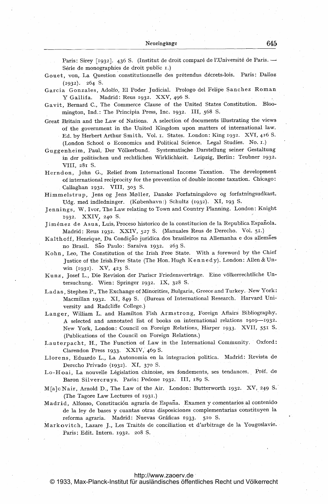Paris: Sirey [1932]. 436 S. (Institut de droit comparé de l'Université de Paris. --Série de monographies de droit public I.)

Gouet, von, La Question constitutionnelle des prétendus décrets-lois. Paris: Dalloz (1932). 264 S.

Garcia Gonzales, Adolfo, El Poder judicial. Prologo del Felipe Sanchez Roman Y Gallifa. Madrid: Reus 1932. XXV, <sup>496</sup> S.

- Gavit, Bernard C., The Commerce Clause of the United States Constitution. Bloomington, Ind.: The Principia Press, Inc. 1932. 111, <sup>568</sup> S.
- Great Britain and the Law of Nations. A selection of documents illustrating the views of the government in the United Kingdom upon matters of international law. Ed. by Herbert Arthur Smith. Vol. i. States. London: King 1932. XVI, <sup>416</sup> S. (London School <sup>o</sup> Economics and Political Science. Legal Studies. No. i.)
- Guggenheim, Paul, Der Völkerbund. Systematische,Darstellung seiner Gestaltung in der politischen und rechtlichen Wirklichkeit. Leipzig, Berlin: Teubner 1932. VIII, 281 S.
- Herndon, John G., Relief from International Income Taxation. The development of international reciprocity for the prevention of double income taxation. Chicago: Callaghan 1932. VIII, 303 S.
- Himmelstrup, Jens og Jens Moller, Danske Forfatningslove og forfatningsudkast. Udg. med indledninger. (Kobenhavn:) Schultz (1932). XI, <sup>193</sup> S-
- Jennings, W. Ivor, The Law relating to Town and Country Planning. London: Knight 1932. XXIV, 240 S.
- Jiménez de Asua, Luis, Proceso historico de la constitucion de la Republica Española. Madrid: Reus 1932. XXIV, 527 S. (Manuales Reus de Derecho. Vol. 51.)
- Kalthoff, Henrique, Da Condição juridica dos brasileiros na Allemanha e dos allemães no Brasil. São Paulo: Saraiva 1932. 263 S.
- Kohn, Leo, The Constitution of the Irish Free State. With <sup>a</sup> foreword by the Chiefjustice of the Irish Free State (The Hon. Hugh Ke <sup>n</sup> <sup>n</sup> <sup>e</sup> <sup>d</sup> y). London: Allen & Unwin (1932). XV, 423 S.
- Kunz, Josef L., Die Revision der Pariscr Friedensvertrage. Eine v6lkerrechtliche Untersuchung. Wien: Springer 1932. IX, 328 S.
- Ladas, Stephen P., The Exchange of Minorities, Bulgaria, Greece and Turkey. New York: Macmillan 1932. XI, <sup>849</sup> S. (Bureau of International Research. Harvard University and Radcliffe College.)
- Langer, William L. and Hamilton Fish Armstrong, Foreign Affairs Bibliography. A selected and annotated list of books on international relations 1919-1932- New York, London: Council on Foreign Relations, Harper 1933. XVIL <sup>551</sup> S. (Publications of the Council on Foreign Relations.)
- Lauterpacht, H., The Function of Law in the International Community. Oxford: Clarendon Press 1933. XXIV, 469 S.
- Llorens, Eduardo L., La Autonomia en la integracion politica. Madrid: Revista de Derecho Privado (1932). XI, 370 S.
- Lo-Hoai, La nouvelle Législation chinoise, ses fondements, ses tendances. Préf. de Baron Silvercruys. Paris: Pedone 1932. III, 189 S.
- M[a]cNair, Arnold D., The Law of the Air. London: Butterworth 1932. XV, <sup>249</sup> S-' (The Tagore Law Lectures of 1931.)
- Madrid, Alfonso, Constitución agraria de España. Examen y comentarios al contenido de la ley de bases y cuantas otras disposiciones complementarias constituyen la reforma agraria. Madrid: Nuevas Gráficas 1933. 510 S.
- Markovitch, Lazare J., Les Traités de conciliation et d'arbitrage de la Yougoslavie. Paris: Edit. Intern. 1932. 2o8 S.

#### <http://www.zaoerv.de>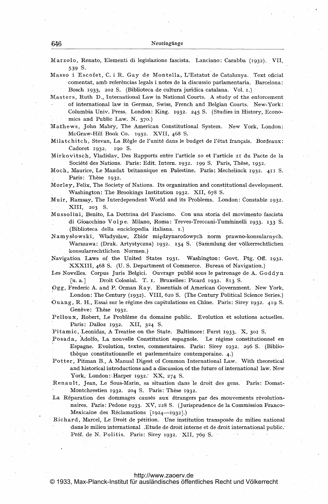Marzolo, Renato, Elementi di legislazione fascista. Lanciano: Carabba (1932)- VII, 539 S.

Masso <sup>i</sup> Escofet, C. <sup>i</sup> R. Gay de Montella, L'Estatut de Catalunya. Text oficial comentat, amb referèncias legals i notes de la discussio parlamentaria. Barcelona: Bosch 1933. 202 S. (Biblioteca de cultura juridica catalana. Vol. 1.)

Masters, Ruth D., International Law in National Courts. A study of the enforcement of international law in German, Swiss, French and Belgian Courts. New-York: Columbia Univ. Press. London: King. 1932. 245 S. (Studies in History, Economics and Public Law. N. 370.)

Mathews, John Mabry, The American Constitutional System. New York, London: McGraw-Hill Book Co. 1932. XVII, 468 S.

Milatchitch, Stevan, La R6gle de l'unit6 dans le budget de 1'6tat frangais. Bordeaux: Cadoret 1932. 190 S.

Mirkovitsch, Vladislav, Des Rapports entre l'article io et I'article <sup>21</sup> du Pacte de la Société des Nations. Paris: Edit. Intern. 1932. 199 S. Paris, Thèse, 1932.

Moch, Maurice, Le Mandat britannique en Palestine. Paris: Mechelinck 1932. 411 S. Paris: Thèse 1932.

Morley, Felix, The Society of Nations. Its organization and constitutional development. Washington: The Brookings Institution 1932- XII, 678 S.

Muir, Ramsay, The Interdependent World and its Problems. London: Constable 1932. XIII, 203 S.

Mussolini, Benito, La Dottrina del Fascismo. Con una storia del movimento fascista di Gioacchino Volpe. Milano, Roma: Treves-Treccani-Tumininelli 1933. <sup>133</sup> S- (Biblioteca della enciclopedia italiana. i.)

Namyslowski, Wladyslaw, Zbi6r migdzynarodowych norm prawno Warszawa: (Druk. Artystyczna) 1932. 154 S. (Sammlung der völkerrechtlichen konsularrechtlichen Normen.)

Navigation Laws of the United States 1931. Washington: Govt. Ptg. Off. 1932. XXXIII, 468 S. (U. S. Department of Commerce. Bureau of Navigation.)

Les Novelles. Corpus Juris Belgici. Ouvrage publié sous le patronage de A. Goddyn [u. a.] Droit Colonial. T. I. Bruxelles: Picard 1932. 813 S.

Pgg, Frederic A. and P. Orman Ray. Essentials of American Government. New York, London: The Century (1932). VIII, 620 S. (The Century Political Science Series.)

Ouang, R. H., Essai sur le régime des capitulations en Chine. Paris: Sirey 1932. 419 S. Genève: Thèse 1932.

Pelloux, Robert, Le Problème du domaine public. Evolution et solutions actuelles. Paris: Dalloz 1932. XII, 324 S.

Pitamic, Leonidas, A Treatise on the State. Baltimore: Furst 1933. X, <sup>301</sup> S.

Posada, Adolfo, La nouvelle Constitution espagnole. Le régime constitutionnel en Espagne. Evolution, textes, commentaires. Paris: Sirey 1932. 296 S, (Bibliothèque constitutionnelle et parlementaire contemporaine. 4.)

Potter, Pitman B., A Manual Digest of Common International Law. With theoretical and historical introductions and a discussion of the future of international law. New York, London: Harper 1932. XX, 274 S.

Renault, Jean, Le Sous-Marin, sa situation dans le droit des gens. Paris: Domat-Montchrestien 1932. 204 S. Paris: Thèse 1932.

La Réparation des dommages causés aux étrangers par des mouvements révolutionnaires. Paris: Pedone 1933- XV, 228 S. (jurisprudence de la Commission Franco-Mexicaine des Réclamations [1924-1932].)

Richard, Marcel, Le Droit de pétition. Une institution transposée du milieu national dans le milieu international .Etude de droit interne et de droit international public. Préf. de N. Politis. Paris: Sirey 1932. XII, 769 S.

## <http://www.zaoerv.de>